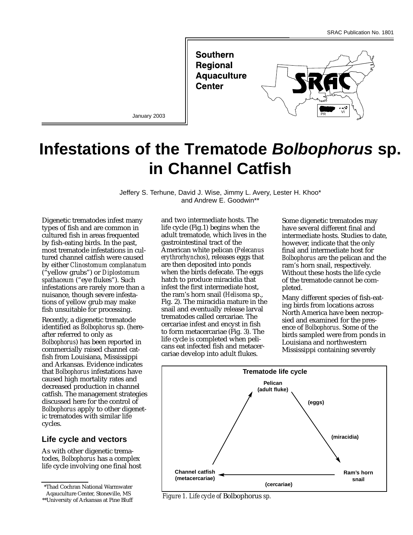

**Infestations of the Trematode Bolbophorus sp. in Channel Catfish**

> Jeffery S. Terhune, David J. Wise, Jimmy L. Avery, Lester H. Khoo\* and Andrew E. Goodwin\*\*

Digenetic trematodes infest many types of fish and are common in cultured fish in areas frequented by fish-eating birds. In the past, most trematode infestations in cultured channel catfish were caused by either *Clinostomum complanatum* ("yellow grubs") or *Diplostomum spathaceum* ("eye flukes"). Such infestations are rarely more than a nuisance, though severe infestations of yellow grub may make fish unsuitable for processing.

Recently, a digenetic trematode identified as *Bolbophorus* sp. (hereafter referred to only as *Bolbophorus*) has been reported in commercially raised channel catfish from Louisiana, Mississippi and Arkansas. Evidence indicates that *Bolbophorus* infestations have caused high mortality rates and decreased production in channel catfish. The management strategies discussed here for the control of *Bolbophorus* apply to other digenetic trematodes with similar life cycles.

### **Life cycle and vectors**

As with other digenetic trematodes, *Bolbophorus* has a complex life cycle involving one final host

\*Thad Cochran National Warmwater Aqauculture Center, Stoneville, MS

\*\*University of Arkansas at Pine Bluff

and two intermediate hosts. The life cycle (Fig.1) begins when the adult trematode, which lives in the gastrointestinal tract of the American white pelican (*Pelecanus erythrorhynchos*), releases eggs that are then deposited into ponds when the birds defecate. The eggs hatch to produce miracidia that infest the first intermediate host, the ram's horn snail (*Helisoma* sp., Fig. 2). The miracidia mature in the snail and eventually release larval trematodes called cercariae. The cercariae infest and encyst in fish to form metacercariae (Fig. 3). The life cycle is completed when pelicans eat infected fish and metacercariae develop into adult flukes.

Some digenetic trematodes may have several different final and intermediate hosts. Studies to date, however, indicate that the only final and intermediate host for *Bolbophorus* are the pelican and the ram's horn snail, respectively. Without these hosts the life cycle of the trematode cannot be completed.

Many different species of fish-eating birds from locations across North America have been necropsied and examined for the presence of *Bolbophorus*. Some of the birds sampled were from ponds in Louisiana and northwestern Mississippi containing severely



*Figure 1. Life cycle of* Bolbophorus *sp.*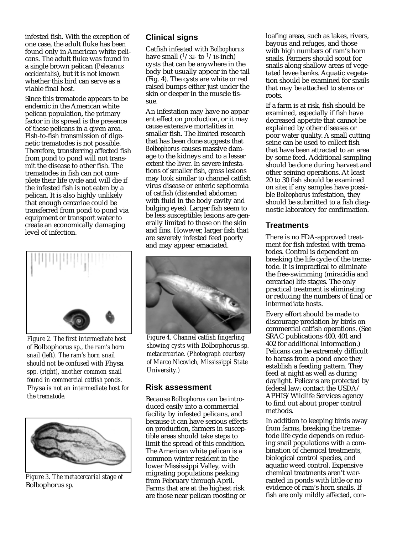infested fish. With the exception of one case, the adult fluke has been found only in American white pelicans. The adult fluke was found in a single brown pelican (*Pelecanus occidentalis*), but it is not known whether this bird can serve as a viable final host.

Since this trematode appears to be endemic in the American white pelican population, the primary factor in its spread is the presence of these pelicans in a given area. Fish-to-fish transmission of digenetic trematodes is not possible. Therefore, transferring affected fish from pond to pond will not transmit the disease to other fish. The trematodes in fish can not complete their life cycle and will die if the infested fish is not eaten by a pelican. It is also highly unlikely that enough cercariae could be transferred from pond to pond via equipment or transport water to create an economically damaging level of infection.



*Figure 2. The first intermediate host of* Bolbophoru*s sp., the ram's horn snail (left). The ram's horn snail should not be confused with* Physa *spp. (right), another common snail found in commercial catfish ponds.* Physa *is not an intermediate host for the trematode.* 



*Figure 3. The metacercarial stage of* Bolbophorus *sp.*

# **Clinical signs**

Catfish infested with *Bolbophorus* have small  $(1/32$ - to  $1/16$ -inch) cysts that can be anywhere in the body but usually appear in the tail (Fig. 4). The cysts are white or red raised bumps either just under the skin or deeper in the muscle tissue.

An infestation may have no apparent effect on production, or it may cause extensive mortalities in smaller fish. The limited research that has been done suggests that *Bolbophorus* causes massive damage to the kidneys and to a lesser extent the liver. In severe infestations of smaller fish, gross lesions may look similar to channel catfish virus disease or enteric septicemia of catfish (distended abdomen with fluid in the body cavity and bulging eyes). Larger fish seem to be less susceptible; lesions are generally limited to those on the skin and fins. However, larger fish that are severely infested feed poorly and may appear emaciated.



*Figure 4. Channel catfish fingerling showing cysts with* Bolbophorus *sp. metacercariae. (Photograph courtesy of Marco Nicovich, Mississippi State University.)*

## **Risk assessment**

Because *Bolbophorus* can be introduced easily into a commercial facility by infested pelicans, and because it can have serious effects on production, farmers in susceptible areas should take steps to limit the spread of this condition. The American white pelican is a common winter resident in the lower Mississippi Valley, with migrating populations peaking from February through April. Farms that are at the highest risk are those near pelican roosting or

loafing areas, such as lakes, rivers, bayous and refuges, and those with high numbers of ram's horn snails. Farmers should scout for snails along shallow areas of vegetated levee banks. Aquatic vegetation should be examined for snails that may be attached to stems or roots.

If a farm is at risk, fish should be examined, especially if fish have decreased appetite that cannot be explained by other diseases or poor water quality. A small cutting seine can be used to collect fish that have been attracted to an area by some feed. Additional sampling should be done during harvest and other seining operations. At least 20 to 30 fish should be examined on site; if any samples have possible *Bolbophorus* infestation, they should be submitted to a fish diagnostic laboratory for confirmation.

### **Treatments**

There is no FDA-approved treatment for fish infested with trematodes. Control is dependent on breaking the life cycle of the trematode. It is impractical to eliminate the free-swimming (miracidia and cercariae) life stages. The only practical treatment is eliminating or reducing the numbers of final or intermediate hosts.

Every effort should be made to discourage predation by birds on commercial catfish operations. (See SRAC publications 400, 401 and 402 for additional information.) Pelicans can be extremely difficult to harass from a pond once they establish a feeding pattern. They feed at night as well as during daylight. Pelicans are protected by federal law; contact the USDA/ APHIS/Wildlife Services agency to find out about proper control methods.

In addition to keeping birds away from farms, breaking the trematode life cycle depends on reducing snail populations with a combination of chemical treatments, biological control species, and aquatic weed control. Expensive chemical treatments aren't warranted in ponds with little or no evidence of ram's horn snails. If fish are only mildly affected, con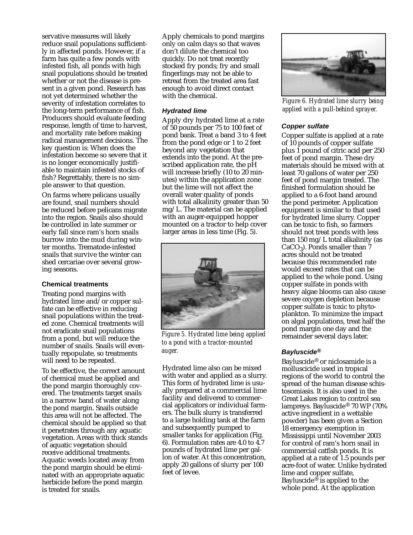servative measures will likely reduce snail populations sufficiently in affected ponds. However, if a farm has quite a few ponds with infested fish, all ponds with high snail populations should be treated whether or not the disease is present in a given pond. Research has not yet determined whether the severity of infestation correlates to the long-term performance of fish. Producers should evaluate feeding response, length of time to harvest, and mortality rate before making radical management decisions. The key question is: When does the infestation become so severe that it is no longer economically justifiable to maintain infested stocks of fish? Regrettably, there is no simple answer to that question.

On farms where pelicans usually are found, snail numbers should be reduced before pelicans migrate into the region. Snails also should be controlled in late summer or early fall since ram's horn snails burrow into the mud during winter months. Trematode-infested snails that survive the winter can shed cercariae over several growing seasons.

#### **Chemical treatments**

Treating pond margins with hydrated lime and/or copper sulfate can be effective in reducing snail populations within the treated zone. Chemical treatments will not eradicate snail populations from a pond, but will reduce the number of snails. Snails will eventually repopulate, so treatments will need to be repeated.

To be effective, the correct amount of chemical must be applied and the pond margin thoroughly covered. The treatments target snails in a narrow band of water along the pond margin. Snails outside this area will not be affected. The chemical should be applied so that it penetrates through any aquatic vegetation. Areas with thick stands of aquatic vegetation should receive additional treatments. Aquatic weeds located away from the pond margin should be eliminated with an appropriate aquatic herbicide before the pond margin is treated for snails.

Apply chemicals to pond margins only on calm days so that waves don't dilute the chemical too quickly. Do not treat recently stocked fry ponds; fry and small fingerlings may not be able to retreat from the treated area fast enough to avoid direct contact with the chemical.

### **Hydrated lime**

Apply dry hydrated lime at a rate of 50 pounds per 75 to 100 feet of pond bank. Treat a band 3 to 4 feet from the pond edge or 1 to 2 feet beyond any vegetation that extends into the pond. At the prescribed application rate, the pH will increase briefly (10 to 20 minutes) within the application zone but the lime will not affect the overall water quality of ponds with total alkalinity greater than 50 mg/L. The material can be applied with an auger-equipped hopper mounted on a tractor to help cover larger areas in less time (Fig. 5).



*Figure 5. Hydrated lime being applied to a pond with a tractor-mounted auger.*

Hydrated lime also can be mixed with water and applied as a slurry. This form of hydrated lime is usually prepared at a commercial lime facility and delivered to commercial applicators or individual farmers. The bulk slurry is transferred to a large holding tank at the farm and subsequently pumped to smaller tanks for application (Fig. 6). Formulation rates are 4.0 to 4.7 pounds of hydrated lime per gallon of water. At this concentration, apply 20 gallons of slurry per 100 feet of levee.



*Figure 6. Hydrated lime slurry being applied with a pull-behind sprayer.*

## **Copper sulfate**

Copper sulfate is applied at a rate of 10 pounds of copper sulfate plus 1 pound of citric acid per 250 feet of pond margin. These dry materials should be mixed with at least 70 gallons of water per 250 feet of pond margin treated. The finished formulation should be applied to a 6-foot band around the pond perimeter. Application equipment is similar to that used for hydrated lime slurry. Copper can be toxic to fish, so farmers should not treat ponds with less than 150 mg/L total alkalinity (as  $CaCO<sub>3</sub>$ ). Ponds smaller than 7 acres should not be treated because this recommended rate would exceed rates that can be applied to the whole pond. Using copper sulfate in ponds with heavy algae blooms can also cause severe oxygen depletion because copper sulfate is toxic to phytoplankton. To minimize the impact on algal populations, treat half the pond margin one day and the remainder several days later.

# **Bayluscide®**

Bayluscide® or niclosamide is a molluscicide used in tropical regions of the world to control the spread of the human disease schistosomiasis. It is also used in the Great Lakes region to control sea lampreys. Bayluscide® 70 WP (70% active ingredient in a wettable powder) has been given a Section 18 emergency exemption in Mississippi until November 2003 for control of ram's horn snail in commercial catfish ponds. It is applied at a rate of 1.5 pounds per acre-foot of water. Unlike hydrated lime and copper sulfate, Bayluscide<sup>®</sup> is applied to the whole pond. At the application